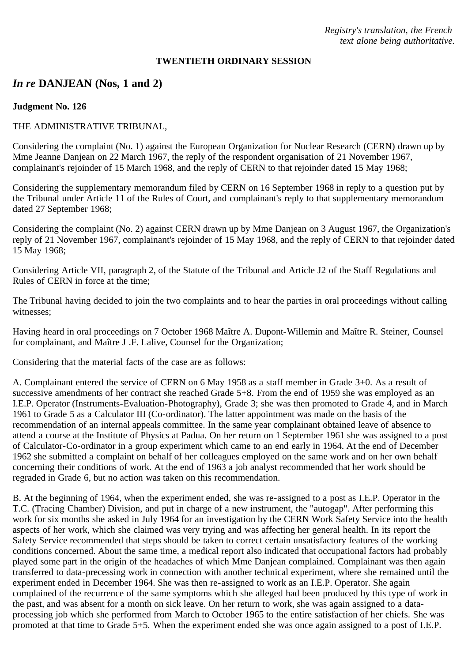*Registry's translation, the French text alone being authoritative.*

#### **TWENTIETH ORDINARY SESSION**

# *In re* **DANJEAN (Nos, 1 and 2)**

#### **Judgment No. 126**

## THE ADMINISTRATIVE TRIBUNAL,

Considering the complaint (No. 1) against the European Organization for Nuclear Research (CERN) drawn up by Mme Jeanne Danjean on 22 March 1967, the reply of the respondent organisation of 21 November 1967, complainant's rejoinder of 15 March 1968, and the reply of CERN to that rejoinder dated 15 May 1968;

Considering the supplementary memorandum filed by CERN on 16 September 1968 in reply to a question put by the Tribunal under Article 11 of the Rules of Court, and complainant's reply to that supplementary memorandum dated 27 September 1968;

Considering the complaint (No. 2) against CERN drawn up by Mme Danjean on 3 August 1967, the Organization's reply of 21 November 1967, complainant's rejoinder of 15 May 1968, and the reply of CERN to that rejoinder dated 15 May 1968;

Considering Article VII, paragraph 2, of the Statute of the Tribunal and Article J2 of the Staff Regulations and Rules of CERN in force at the time;

The Tribunal having decided to join the two complaints and to hear the parties in oral proceedings without calling witnesses;

Having heard in oral proceedings on 7 October 1968 Maître A. Dupont-Willemin and Maître R. Steiner, Counsel for complainant, and Maître J .F. Lalive, Counsel for the Organization;

Considering that the material facts of the case are as follows:

A. Complainant entered the service of CERN on 6 May 1958 as a staff member in Grade 3+0. As a result of successive amendments of her contract she reached Grade 5+8. From the end of 1959 she was employed as an I.E.P. Operator (Instruments-Evaluation-Photography), Grade 3; she was then promoted to Grade 4, and in March 1961 to Grade 5 as a Calculator III (Co-ordinator). The latter appointment was made on the basis of the recommendation of an internal appeals committee. In the same year complainant obtained leave of absence to attend a course at the Institute of Physics at Padua. On her return on 1 September 1961 she was assigned to a post of Calculator-Co-ordinator in a group experiment which came to an end early in 1964. At the end of December 1962 she submitted a complaint on behalf of her colleagues employed on the same work and on her own behalf concerning their conditions of work. At the end of 1963 a job analyst recommended that her work should be regraded in Grade 6, but no action was taken on this recommendation.

B. At the beginning of 1964, when the experiment ended, she was re-assigned to a post as I.E.P. Operator in the T.C. (Tracing Chamber) Division, and put in charge of a new instrument, the "autogap". After performing this work for six months she asked in July 1964 for an investigation by the CERN Work Safety Service into the health aspects of her work, which she claimed was very trying and was affecting her general health. In its report the Safety Service recommended that steps should be taken to correct certain unsatisfactory features of the working conditions concerned. About the same time, a medical report also indicated that occupational factors had probably played some part in the origin of the headaches of which Mme Danjean complained. Complainant was then again transferred to data-precessing work in connection with another technical experiment, where she remained until the experiment ended in December 1964. She was then re-assigned to work as an I.E.P. Operator. She again complained of the recurrence of the same symptoms which she alleged had been produced by this type of work in the past, and was absent for a month on sick leave. On her return to work, she was again assigned to a dataprocessing job which she performed from March to October 1965 to the entire satisfaction of her chiefs. She was promoted at that time to Grade 5+5. When the experiment ended she was once again assigned to a post of I.E.P.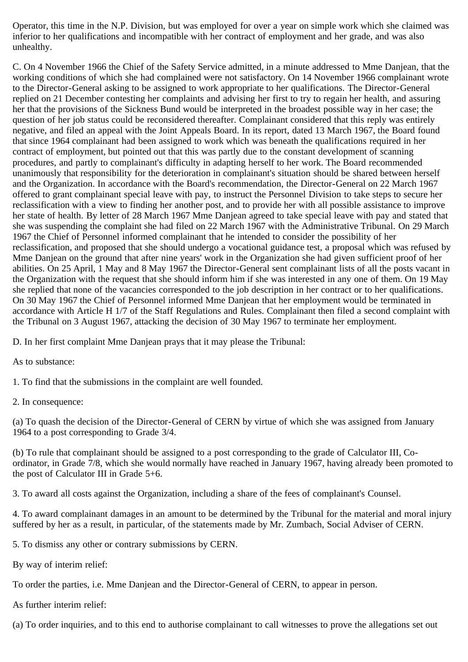Operator, this time in the N.P. Division, but was employed for over a year on simple work which she claimed was inferior to her qualifications and incompatible with her contract of employment and her grade, and was also unhealthy.

C. On 4 November 1966 the Chief of the Safety Service admitted, in a minute addressed to Mme Danjean, that the working conditions of which she had complained were not satisfactory. On 14 November 1966 complainant wrote to the Director-General asking to be assigned to work appropriate to her qualifications. The Director-General replied on 21 December contesting her complaints and advising her first to try to regain her health, and assuring her that the provisions of the Sickness Bund would be interpreted in the broadest possible way in her case; the question of her job status could be reconsidered thereafter. Complainant considered that this reply was entirely negative, and filed an appeal with the Joint Appeals Board. In its report, dated 13 March 1967, the Board found that since 1964 complainant had been assigned to work which was beneath the qualifications required in her contract of employment, but pointed out that this was partly due to the constant development of scanning procedures, and partly to complainant's difficulty in adapting herself to her work. The Board recommended unanimously that responsibility for the deterioration in complainant's situation should be shared between herself and the Organization. In accordance with the Board's recommendation, the Director-General on 22 March 1967 offered to grant complainant special leave with pay, to instruct the Personnel Division to take steps to secure her reclassification with a view to finding her another post, and to provide her with all possible assistance to improve her state of health. By letter of 28 March 1967 Mme Danjean agreed to take special leave with pay and stated that she was suspending the complaint she had filed on 22 March 1967 with the Administrative Tribunal. On 29 March 1967 the Chief of Personnel informed complainant that he intended to consider the possibility of her reclassification, and proposed that she should undergo a vocational guidance test, a proposal which was refused by Mme Danjean on the ground that after nine years' work in the Organization she had given sufficient proof of her abilities. On 25 April, 1 May and 8 May 1967 the Director-General sent complainant lists of all the posts vacant in the Organization with the request that she should inform him if she was interested in any one of them. On 19 May she replied that none of the vacancies corresponded to the job description in her contract or to her qualifications. On 30 May 1967 the Chief of Personnel informed Mme Danjean that her employment would be terminated in accordance with Article H 1/7 of the Staff Regulations and Rules. Complainant then filed a second complaint with the Tribunal on 3 August 1967, attacking the decision of 30 May 1967 to terminate her employment.

D. In her first complaint Mme Danjean prays that it may please the Tribunal:

As to substance:

1. To find that the submissions in the complaint are well founded.

2. In consequence:

(a) To quash the decision of the Director-General of CERN by virtue of which she was assigned from January 1964 to a post corresponding to Grade 3/4.

(b) To rule that complainant should be assigned to a post corresponding to the grade of Calculator III, Coordinator, in Grade 7/8, which she would normally have reached in January 1967, having already been promoted to the post of Calculator III in Grade 5+6.

3. To award all costs against the Organization, including a share of the fees of complainant's Counsel.

4. To award complainant damages in an amount to be determined by the Tribunal for the material and moral injury suffered by her as a result, in particular, of the statements made by Mr. Zumbach, Social Adviser of CERN.

5. To dismiss any other or contrary submissions by CERN.

By way of interim relief:

To order the parties, i.e. Mme Danjean and the Director-General of CERN, to appear in person.

As further interim relief:

(a) To order inquiries, and to this end to authorise complainant to call witnesses to prove the allegations set out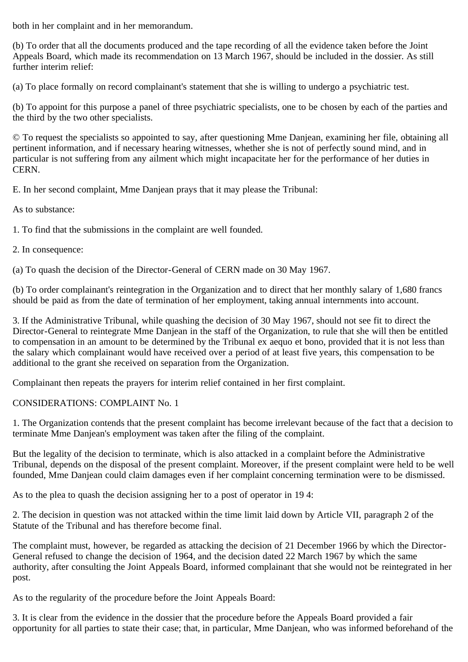both in her complaint and in her memorandum.

(b) To order that all the documents produced and the tape recording of all the evidence taken before the Joint Appeals Board, which made its recommendation on 13 March 1967, should be included in the dossier. As still further interim relief:

(a) To place formally on record complainant's statement that she is willing to undergo a psychiatric test.

(b) To appoint for this purpose a panel of three psychiatric specialists, one to be chosen by each of the parties and the third by the two other specialists.

© To request the specialists so appointed to say, after questioning Mme Danjean, examining her file, obtaining all pertinent information, and if necessary hearing witnesses, whether she is not of perfectly sound mind, and in particular is not suffering from any ailment which might incapacitate her for the performance of her duties in CERN.

E. In her second complaint, Mme Danjean prays that it may please the Tribunal:

As to substance:

1. To find that the submissions in the complaint are well founded.

2. In consequence:

(a) To quash the decision of the Director-General of CERN made on 30 May 1967.

(b) To order complainant's reintegration in the Organization and to direct that her monthly salary of 1,680 francs should be paid as from the date of termination of her employment, taking annual internments into account.

3. If the Administrative Tribunal, while quashing the decision of 30 May 1967, should not see fit to direct the Director-General to reintegrate Mme Danjean in the staff of the Organization, to rule that she will then be entitled to compensation in an amount to be determined by the Tribunal ex aequo et bono, provided that it is not less than the salary which complainant would have received over a period of at least five years, this compensation to be additional to the grant she received on separation from the Organization.

Complainant then repeats the prayers for interim relief contained in her first complaint.

CONSIDERATIONS: COMPLAINT No. 1

1. The Organization contends that the present complaint has become irrelevant because of the fact that a decision to terminate Mme Danjean's employment was taken after the filing of the complaint.

But the legality of the decision to terminate, which is also attacked in a complaint before the Administrative Tribunal, depends on the disposal of the present complaint. Moreover, if the present complaint were held to be well founded, Mme Danjean could claim damages even if her complaint concerning termination were to be dismissed.

As to the plea to quash the decision assigning her to a post of operator in 19 4:

2. The decision in question was not attacked within the time limit laid down by Article VII, paragraph 2 of the Statute of the Tribunal and has therefore become final.

The complaint must, however, be regarded as attacking the decision of 21 December 1966 by which the Director-General refused to change the decision of 1964, and the decision dated 22 March 1967 by which the same authority, after consulting the Joint Appeals Board, informed complainant that she would not be reintegrated in her post.

As to the regularity of the procedure before the Joint Appeals Board:

3. It is clear from the evidence in the dossier that the procedure before the Appeals Board provided a fair opportunity for all parties to state their case; that, in particular, Mme Danjean, who was informed beforehand of the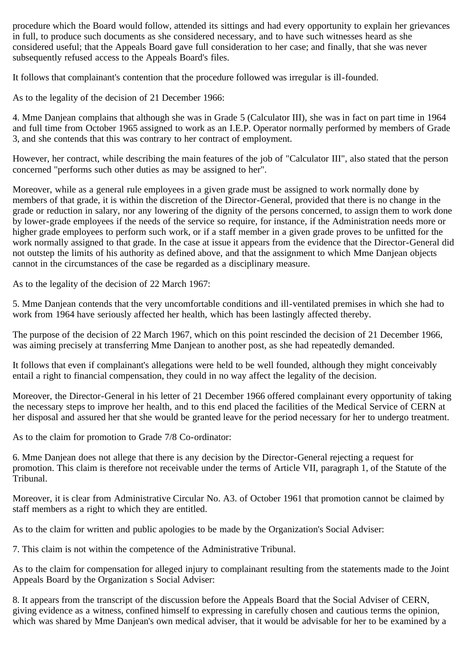procedure which the Board would follow, attended its sittings and had every opportunity to explain her grievances in full, to produce such documents as she considered necessary, and to have such witnesses heard as she considered useful; that the Appeals Board gave full consideration to her case; and finally, that she was never subsequently refused access to the Appeals Board's files.

It follows that complainant's contention that the procedure followed was irregular is ill-founded.

As to the legality of the decision of 21 December 1966:

4. Mme Danjean complains that although she was in Grade 5 (Calculator III), she was in fact on part time in 1964 and full time from October 1965 assigned to work as an I.E.P. Operator normally performed by members of Grade 3, and she contends that this was contrary to her contract of employment.

However, her contract, while describing the main features of the job of "Calculator III", also stated that the person concerned "performs such other duties as may be assigned to her".

Moreover, while as a general rule employees in a given grade must be assigned to work normally done by members of that grade, it is within the discretion of the Director-General, provided that there is no change in the grade or reduction in salary, nor any lowering of the dignity of the persons concerned, to assign them to work done by lower-grade employees if the needs of the service so require, for instance, if the Administration needs more or higher grade employees to perform such work, or if a staff member in a given grade proves to be unfitted for the work normally assigned to that grade. In the case at issue it appears from the evidence that the Director-General did not outstep the limits of his authority as defined above, and that the assignment to which Mme Danjean objects cannot in the circumstances of the case be regarded as a disciplinary measure.

As to the legality of the decision of 22 March 1967:

5. Mme Danjean contends that the very uncomfortable conditions and ill-ventilated premises in which she had to work from 1964 have seriously affected her health, which has been lastingly affected thereby.

The purpose of the decision of 22 March 1967, which on this point rescinded the decision of 21 December 1966, was aiming precisely at transferring Mme Danjean to another post, as she had repeatedly demanded.

It follows that even if complainant's allegations were held to be well founded, although they might conceivably entail a right to financial compensation, they could in no way affect the legality of the decision.

Moreover, the Director-General in his letter of 21 December 1966 offered complainant every opportunity of taking the necessary steps to improve her health, and to this end placed the facilities of the Medical Service of CERN at her disposal and assured her that she would be granted leave for the period necessary for her to undergo treatment.

As to the claim for promotion to Grade 7/8 Co-ordinator:

6. Mme Danjean does not allege that there is any decision by the Director-General rejecting a request for promotion. This claim is therefore not receivable under the terms of Article VII, paragraph 1, of the Statute of the Tribunal.

Moreover, it is clear from Administrative Circular No. A3. of October 1961 that promotion cannot be claimed by staff members as a right to which they are entitled.

As to the claim for written and public apologies to be made by the Organization's Social Adviser:

7. This claim is not within the competence of the Administrative Tribunal.

As to the claim for compensation for alleged injury to complainant resulting from the statements made to the Joint Appeals Board by the Organization s Social Adviser:

8. It appears from the transcript of the discussion before the Appeals Board that the Social Adviser of CERN, giving evidence as a witness, confined himself to expressing in carefully chosen and cautious terms the opinion, which was shared by Mme Danjean's own medical adviser, that it would be advisable for her to be examined by a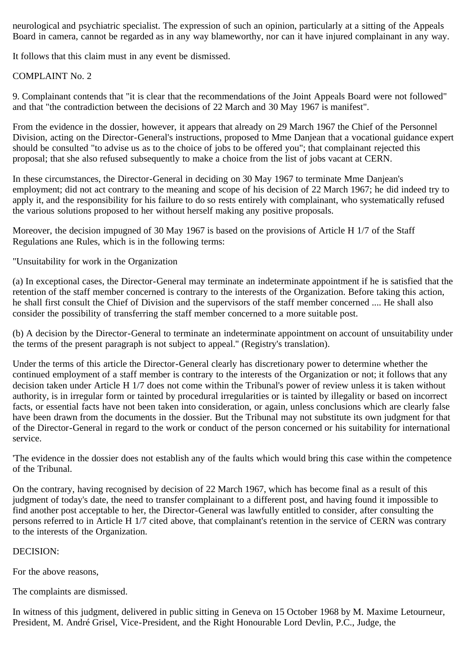neurological and psychiatric specialist. The expression of such an opinion, particularly at a sitting of the Appeals Board in camera, cannot be regarded as in any way blameworthy, nor can it have injured complainant in any way.

It follows that this claim must in any event be dismissed.

## COMPLAINT No. 2

9. Complainant contends that "it is clear that the recommendations of the Joint Appeals Board were not followed" and that "the contradiction between the decisions of 22 March and 30 May 1967 is manifest".

From the evidence in the dossier, however, it appears that already on 29 March 1967 the Chief of the Personnel Division, acting on the Director-General's instructions, proposed to Mme Danjean that a vocational guidance expert should be consulted "to advise us as to the choice of jobs to be offered you"; that complainant rejected this proposal; that she also refused subsequently to make a choice from the list of jobs vacant at CERN.

In these circumstances, the Director-General in deciding on 30 May 1967 to terminate Mme Danjean's employment; did not act contrary to the meaning and scope of his decision of 22 March 1967; he did indeed try to apply it, and the responsibility for his failure to do so rests entirely with complainant, who systematically refused the various solutions proposed to her without herself making any positive proposals.

Moreover, the decision impugned of 30 May 1967 is based on the provisions of Article H 1/7 of the Staff Regulations ane Rules, which is in the following terms:

"Unsuitability for work in the Organization

(a) In exceptional cases, the Director-General may terminate an indeterminate appointment if he is satisfied that the retention of the staff member concerned is contrary to the interests of the Organization. Before taking this action, he shall first consult the Chief of Division and the supervisors of the staff member concerned .... He shall also consider the possibility of transferring the staff member concerned to a more suitable post.

(b) A decision by the Director-General to terminate an indeterminate appointment on account of unsuitability under the terms of the present paragraph is not subject to appeal.'' (Registry's translation).

Under the terms of this article the Director-General clearly has discretionary power to determine whether the continued employment of a staff member is contrary to the interests of the Organization or not; it follows that any decision taken under Article H 1/7 does not come within the Tribunal's power of review unless it is taken without authority, is in irregular form or tainted by procedural irregularities or is tainted by illegality or based on incorrect facts, or essential facts have not been taken into consideration, or again, unless conclusions which are clearly false have been drawn from the documents in the dossier. But the Tribunal may not substitute its own judgment for that of the Director-General in regard to the work or conduct of the person concerned or his suitability for international service.

'The evidence in the dossier does not establish any of the faults which would bring this case within the competence of the Tribunal.

On the contrary, having recognised by decision of 22 March 1967, which has become final as a result of this judgment of today's date, the need to transfer complainant to a different post, and having found it impossible to find another post acceptable to her, the Director-General was lawfully entitled to consider, after consulting the persons referred to in Article H 1/7 cited above, that complainant's retention in the service of CERN was contrary to the interests of the Organization.

## DECISION:

For the above reasons,

The complaints are dismissed.

In witness of this judgment, delivered in public sitting in Geneva on 15 October 1968 by M. Maxime Letourneur, President, M. André Grisel, Vice-President, and the Right Honourable Lord Devlin, P.C., Judge, the